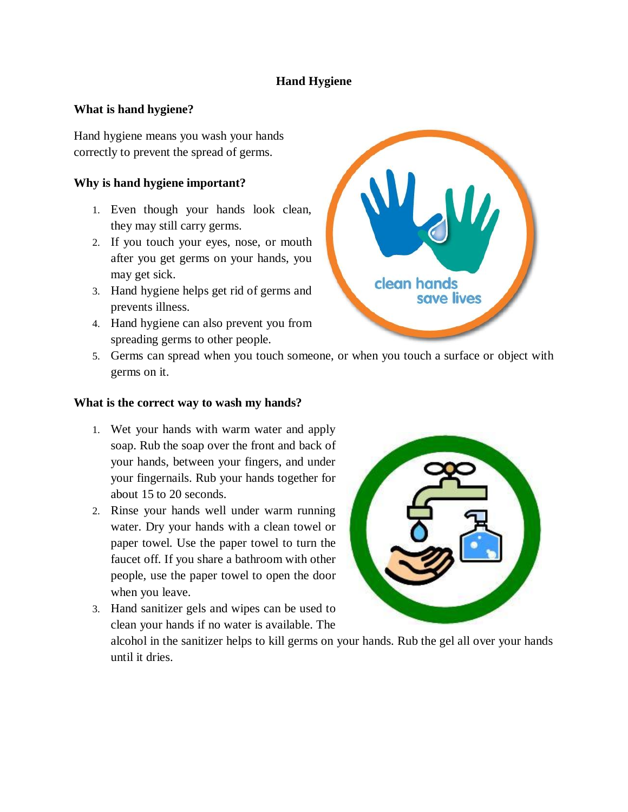# **Hand Hygiene**

### **What is hand hygiene?**

Hand hygiene means you wash your hands correctly to prevent the spread of germs.

## **Why is hand hygiene important?**

- 1. Even though your hands look clean, they may still carry germs.
- 2. If you touch your eyes, nose, or mouth after you get germs on your hands, you may get sick.
- 3. Hand hygiene helps get rid of germs and prevents illness.
- 4. Hand hygiene can also prevent you from spreading germs to other people.



5. Germs can spread when you touch someone, or when you touch a surface or object with germs on it.

#### **What is the correct way to wash my hands?**

- 1. Wet your hands with warm water and apply soap. Rub the soap over the front and back of your hands, between your fingers, and under your fingernails. Rub your hands together for about 15 to 20 seconds.
- 2. Rinse your hands well under warm running water. Dry your hands with a clean towel or paper towel. Use the paper towel to turn the faucet off. If you share a bathroom with other people, use the paper towel to open the door when you leave.
- 3. Hand sanitizer gels and wipes can be used to clean your hands if no water is available. The



alcohol in the sanitizer helps to kill germs on your hands. Rub the gel all over your hands until it dries.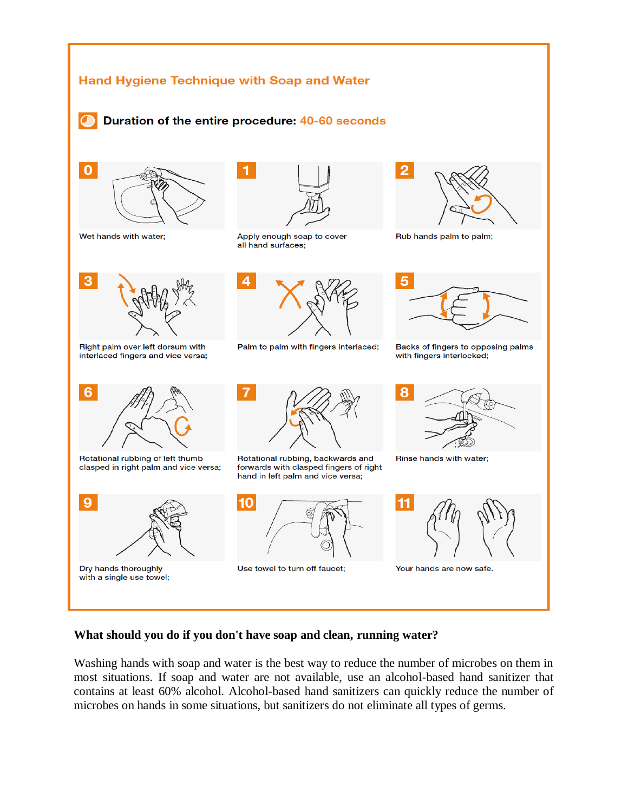

#### **What should you do if you don't have soap and clean, running water?**

Washing hands with soap and water is the best way to reduce the number of microbes on them in most situations. If soap and water are not available, use an alcohol-based hand sanitizer that contains at least 60% alcohol. Alcohol-based hand sanitizers can quickly reduce the number of microbes on hands in some situations, but sanitizers do not eliminate all types of germs.